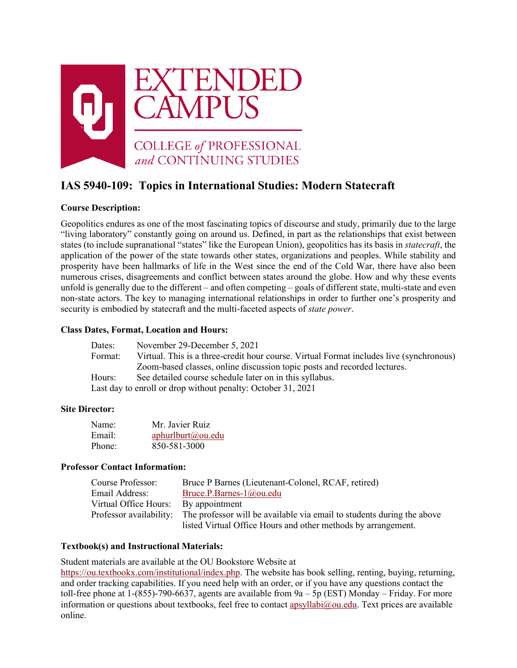

# **IAS 5940-109: Topics in International Studies: Modern Statecraft**

# **Course Description:**

Geopolitics endures as one of the most fascinating topics of discourse and study, primarily due to the large "living laboratory" constantly going on around us. Defined, in part as the relationships that exist between states (to include supranational "states" like the European Union), geopolitics has its basis in *statecraft*, the application of the power of the state towards other states, organizations and peoples. While stability and prosperity have been hallmarks of life in the West since the end of the Cold War, there have also been numerous crises, disagreements and conflict between states around the globe. How and why these events unfold is generally due to the different – and often competing – goals of different state, multi-state and even non-state actors. The key to managing international relationships in order to further one's prosperity and security is embodied by statecraft and the multi-faceted aspects of *state power*.

# **Class Dates, Format, Location and Hours:**

| Dates:  | November 29-December 5, 2021                                                            |  |
|---------|-----------------------------------------------------------------------------------------|--|
| Format: | Virtual. This is a three-credit hour course. Virtual Format includes live (synchronous) |  |
|         | Zoom-based classes, online discussion topic posts and recorded lectures.                |  |
| Hours:  | See detailed course schedule later on in this syllabus.                                 |  |
|         | Last day to enroll or drop without penalty: October 31, 2021                            |  |

# **Site Director:**

| Name:  | Mr. Javier Ruiz   |
|--------|-------------------|
| Email: | aphurlburt@ou.edu |
| Phone: | 850-581-3000      |

### **Professor Contact Information:**

| Course Professor:     | Bruce P Barnes (Lieutenant-Colonel, RCAF, retired)                                             |
|-----------------------|------------------------------------------------------------------------------------------------|
| Email Address:        | Bruce.P.Barnes-1@ou.edu                                                                        |
| Virtual Office Hours: | By appointment                                                                                 |
|                       | Professor availability: The professor will be available via email to students during the above |
|                       | listed Virtual Office Hours and other methods by arrangement.                                  |

### **Textbook(s) and Instructional Materials:**

Student materials are available at the OU Bookstore Website at [https://ou.textbookx.com/institutional/index.php.](https://ou.textbookx.com/institutional/index.php) The website has book selling, renting, buying, returning, and order tracking capabilities. If you need help with an order, or if you have any questions contact the toll-free phone at 1-(855)-790-6637, agents are available from 9a – 5p (EST) Monday – Friday. For more information or questions about textbooks, feel free to contact [apsyllabi@ou.edu.](mailto:apsyllabi@ou.edu) Text prices are available online.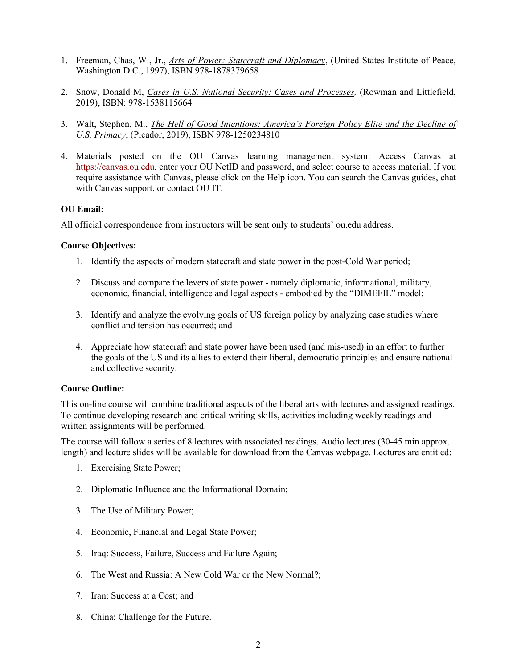- 1. Freeman, Chas, W., Jr., *Arts of Power: Statecraft and Diplomacy*, (United States Institute of Peace, Washington D.C., 1997), ISBN 978-1878379658
- 2. Snow, Donald M, *Cases in U.S. National Security: Cases and Processes,* (Rowman and Littlefield, 2019), ISBN: 978-1538115664
- 3. Walt, Stephen, M., *The Hell of Good Intentions: America's Foreign Policy Elite and the Decline of U.S. Primacy*, (Picador, 2019), ISBN 978-1250234810
- 4. Materials posted on the OU Canvas learning management system: Access Canvas at [https://canvas.ou.edu,](https://canvas.ou.edu/) enter your OU NetID and password, and select course to access material. If you require assistance with Canvas, please click on the Help icon. You can search the Canvas guides, chat with Canvas support, or contact OU IT.

### **OU Email:**

All official correspondence from instructors will be sent only to students' ou.edu address.

### **Course Objectives:**

- 1. Identify the aspects of modern statecraft and state power in the post-Cold War period;
- 2. Discuss and compare the levers of state power namely diplomatic, informational, military, economic, financial, intelligence and legal aspects - embodied by the "DIMEFIL" model;
- 3. Identify and analyze the evolving goals of US foreign policy by analyzing case studies where conflict and tension has occurred; and
- 4. Appreciate how statecraft and state power have been used (and mis-used) in an effort to further the goals of the US and its allies to extend their liberal, democratic principles and ensure national and collective security.

### **Course Outline:**

This on-line course will combine traditional aspects of the liberal arts with lectures and assigned readings. To continue developing research and critical writing skills, activities including weekly readings and written assignments will be performed.

The course will follow a series of 8 lectures with associated readings. Audio lectures (30-45 min approx. length) and lecture slides will be available for download from the Canvas webpage. Lectures are entitled:

- 1. Exercising State Power;
- 2. Diplomatic Influence and the Informational Domain;
- 3. The Use of Military Power;
- 4. Economic, Financial and Legal State Power;
- 5. Iraq: Success, Failure, Success and Failure Again;
- 6. The West and Russia: A New Cold War or the New Normal?;
- 7. Iran: Success at a Cost; and
- 8. China: Challenge for the Future.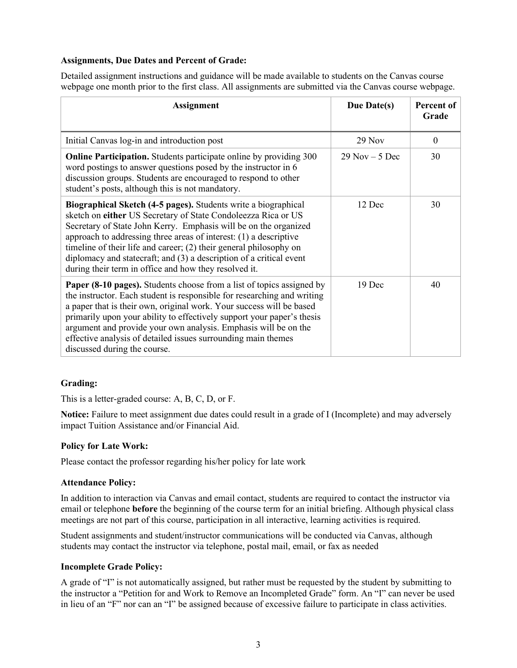# **Assignments, Due Dates and Percent of Grade:**

Detailed assignment instructions and guidance will be made available to students on the Canvas course webpage one month prior to the first class. All assignments are submitted via the Canvas course webpage.

| <b>Assignment</b>                                                                                                                                                                                                                                                                                                                                                                                                                                                                | Due Date(s)       | Percent of<br>Grade |
|----------------------------------------------------------------------------------------------------------------------------------------------------------------------------------------------------------------------------------------------------------------------------------------------------------------------------------------------------------------------------------------------------------------------------------------------------------------------------------|-------------------|---------------------|
| Initial Canvas log-in and introduction post                                                                                                                                                                                                                                                                                                                                                                                                                                      | $29$ Nov          | $\mathbf{0}$        |
| <b>Online Participation.</b> Students participate online by providing 300<br>word postings to answer questions posed by the instructor in 6<br>discussion groups. Students are encouraged to respond to other<br>student's posts, although this is not mandatory.                                                                                                                                                                                                                | $29$ Nov $-5$ Dec | 30                  |
| Biographical Sketch (4-5 pages). Students write a biographical<br>sketch on either US Secretary of State Condoleezza Rica or US<br>Secretary of State John Kerry. Emphasis will be on the organized<br>approach to addressing three areas of interest: $(1)$ a descriptive<br>timeline of their life and career; (2) their general philosophy on<br>diplomacy and statecraft; and (3) a description of a critical event<br>during their term in office and how they resolved it. | 12 Dec            | 30                  |
| <b>Paper (8-10 pages).</b> Students choose from a list of topics assigned by<br>the instructor. Each student is responsible for researching and writing<br>a paper that is their own, original work. Your success will be based<br>primarily upon your ability to effectively support your paper's thesis<br>argument and provide your own analysis. Emphasis will be on the<br>effective analysis of detailed issues surrounding main themes<br>discussed during the course.    | 19 Dec            | 40                  |

### **Grading:**

This is a letter-graded course: A, B, C, D, or F.

**Notice:** Failure to meet assignment due dates could result in a grade of I (Incomplete) and may adversely impact Tuition Assistance and/or Financial Aid.

### **Policy for Late Work:**

Please contact the professor regarding his/her policy for late work

### **Attendance Policy:**

In addition to interaction via Canvas and email contact, students are required to contact the instructor via email or telephone **before** the beginning of the course term for an initial briefing. Although physical class meetings are not part of this course, participation in all interactive, learning activities is required.

Student assignments and student/instructor communications will be conducted via Canvas, although students may contact the instructor via telephone, postal mail, email, or fax as needed

#### **Incomplete Grade Policy:**

A grade of "I" is not automatically assigned, but rather must be requested by the student by submitting to the instructor a "Petition for and Work to Remove an Incompleted Grade" form. An "I" can never be used in lieu of an "F" nor can an "I" be assigned because of excessive failure to participate in class activities.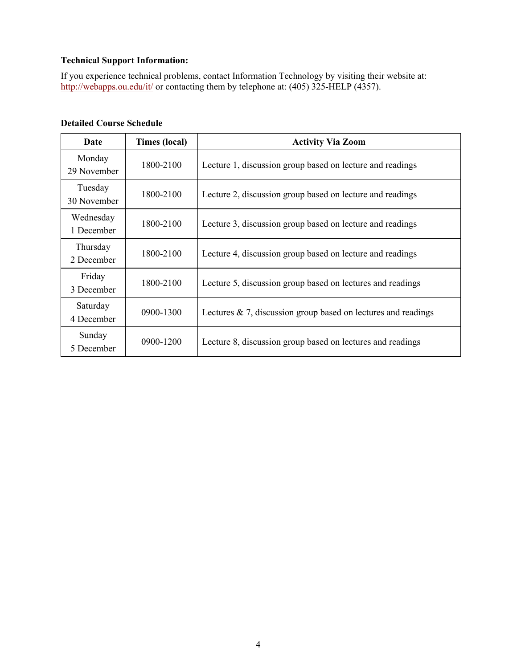# **Technical Support Information:**

If you experience technical problems, contact Information Technology by visiting their website at: <http://webapps.ou.edu/it/> or contacting them by telephone at: (405) 325-HELP (4357).

# **Detailed Course Schedule**

| Date                    | Times (local) | <b>Activity Via Zoom</b>                                          |
|-------------------------|---------------|-------------------------------------------------------------------|
| Monday<br>29 November   | 1800-2100     | Lecture 1, discussion group based on lecture and readings         |
| Tuesday<br>30 November  | 1800-2100     | Lecture 2, discussion group based on lecture and readings         |
| Wednesday<br>1 December | 1800-2100     | Lecture 3, discussion group based on lecture and readings         |
| Thursday<br>2 December  | 1800-2100     | Lecture 4, discussion group based on lecture and readings         |
| Friday<br>3 December    | 1800-2100     | Lecture 5, discussion group based on lectures and readings        |
| Saturday<br>4 December  | 0900-1300     | Lectures $\& 7$ , discussion group based on lectures and readings |
| Sunday<br>5 December    | 0900-1200     | Lecture 8, discussion group based on lectures and readings        |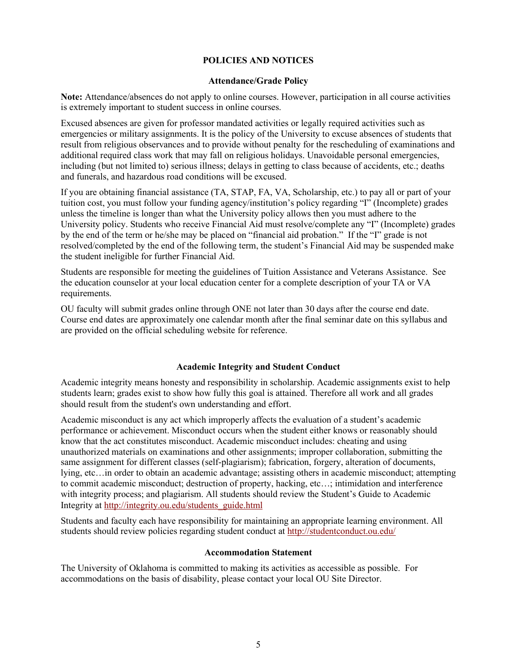# **POLICIES AND NOTICES**

#### **Attendance/Grade Policy**

**Note:** Attendance/absences do not apply to online courses. However, participation in all course activities is extremely important to student success in online courses.

Excused absences are given for professor mandated activities or legally required activities such as emergencies or military assignments. It is the policy of the University to excuse absences of students that result from religious observances and to provide without penalty for the rescheduling of examinations and additional required class work that may fall on religious holidays. Unavoidable personal emergencies, including (but not limited to) serious illness; delays in getting to class because of accidents, etc.; deaths and funerals, and hazardous road conditions will be excused.

If you are obtaining financial assistance (TA, STAP, FA, VA, Scholarship, etc.) to pay all or part of your tuition cost, you must follow your funding agency/institution's policy regarding "I" (Incomplete) grades unless the timeline is longer than what the University policy allows then you must adhere to the University policy. Students who receive Financial Aid must resolve/complete any "I" (Incomplete) grades by the end of the term or he/she may be placed on "financial aid probation." If the "I" grade is not resolved/completed by the end of the following term, the student's Financial Aid may be suspended make the student ineligible for further Financial Aid.

Students are responsible for meeting the guidelines of Tuition Assistance and Veterans Assistance. See the education counselor at your local education center for a complete description of your TA or VA requirements.

OU faculty will submit grades online through ONE not later than 30 days after the course end date. Course end dates are approximately one calendar month after the final seminar date on this syllabus and are provided on the official scheduling website for reference.

### **Academic Integrity and Student Conduct**

Academic integrity means honesty and responsibility in scholarship. Academic assignments exist to help students learn; grades exist to show how fully this goal is attained. Therefore all work and all grades should result from the student's own understanding and effort.

Academic misconduct is any act which improperly affects the evaluation of a student's academic performance or achievement. Misconduct occurs when the student either knows or reasonably should know that the act constitutes misconduct. Academic misconduct includes: cheating and using unauthorized materials on examinations and other assignments; improper collaboration, submitting the same assignment for different classes (self-plagiarism); fabrication, forgery, alteration of documents, lying, etc…in order to obtain an academic advantage; assisting others in academic misconduct; attempting to commit academic misconduct; destruction of property, hacking, etc…; intimidation and interference with integrity process; and plagiarism. All students should review the Student's Guide to Academic Integrity at [http://integrity.ou.edu/students\\_guide.html](http://integrity.ou.edu/students_guide.html)

Students and faculty each have responsibility for maintaining an appropriate learning environment. All students should review policies regarding student conduct at<http://studentconduct.ou.edu/>

### **Accommodation Statement**

The University of Oklahoma is committed to making its activities as accessible as possible. For accommodations on the basis of disability, please contact your local OU Site Director.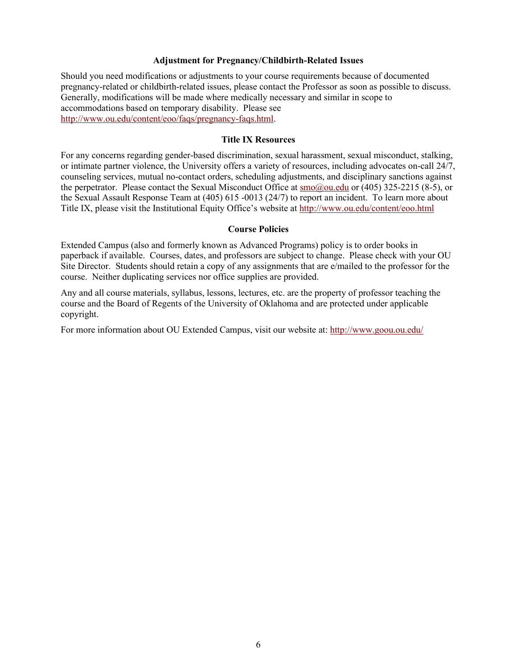### **Adjustment for Pregnancy/Childbirth-Related Issues**

Should you need modifications or adjustments to your course requirements because of documented pregnancy-related or childbirth-related issues, please contact the Professor as soon as possible to discuss. Generally, modifications will be made where medically necessary and similar in scope to accommodations based on temporary disability. Please see [http://www.ou.edu/content/eoo/faqs/pregnancy-faqs.html.](http://www.ou.edu/content/eoo/faqs/pregnancy-faqs.html)

# **Title IX Resources**

For any concerns regarding gender-based discrimination, sexual harassment, sexual misconduct, stalking, or intimate partner violence, the University offers a variety of resources, including advocates on-call 24/7, counseling services, mutual no-contact orders, scheduling adjustments, and disciplinary sanctions against the perpetrator. Please contact the Sexual Misconduct Office at [smo@ou.edu](mailto:smo@ou.edu) or (405) 325-2215 (8-5), or the Sexual Assault Response Team at (405) 615 -0013 (24/7) to report an incident. To learn more about Title IX, please visit the Institutional Equity Office's website at<http://www.ou.edu/content/eoo.html>

#### **Course Policies**

Extended Campus (also and formerly known as Advanced Programs) policy is to order books in paperback if available. Courses, dates, and professors are subject to change. Please check with your OU Site Director. Students should retain a copy of any assignments that are e/mailed to the professor for the course. Neither duplicating services nor office supplies are provided.

Any and all course materials, syllabus, lessons, lectures, etc. are the property of professor teaching the course and the Board of Regents of the University of Oklahoma and are protected under applicable copyright.

For more information about OU Extended Campus, visit our website at:<http://www.goou.ou.edu/>